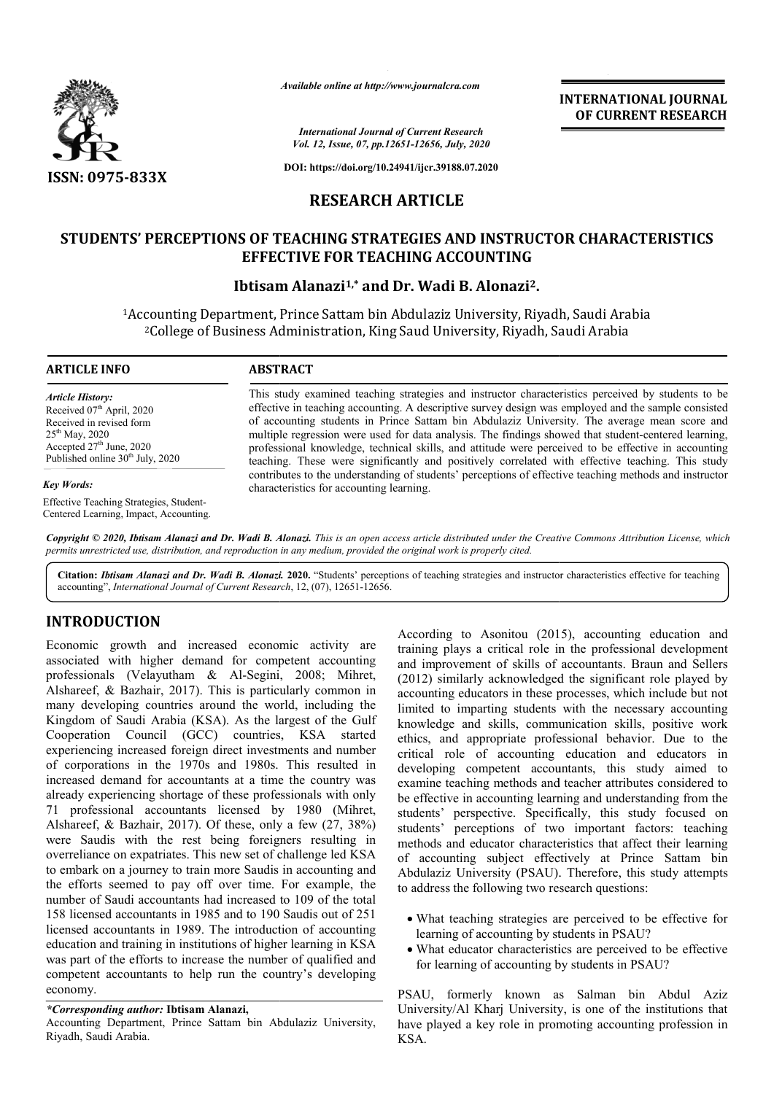

*Available online at http://www.journalcra.com*

**INTERNATIONAL JOURNAL OF CURRENT RESEARCH**

*International Journal of Current Research Vol. 12, Issue, 07, pp.12651-12656, July, 2020*

**DOI: https://doi.org/10.24941/ijcr.39188.07.2020**

## **RESEARCH ARTICLE**

## **STUDENTS' PERCEPTIONS OF TEACHING STRATEGIES AND INSTRUCTOR CHARACTERISTICS EFFECTIVE FOR TEACHING ACCOUNTING**

## **Ibtisam Alanazi Alanazi1,\* and Dr. Wadi B. Alonazi2.**

<sup>1</sup>Accounting Department, Prince Sattam bin Abdulaziz University, Riyadh, Saudi Arabia<sup>2</sup>College of Business Administration, King Saud University, Riyadh, Saudi Arabia <sup>2</sup>College of Business Administration, King Saud University, Riyadh, Saudi Arabia

#### **ARTICLE INFO ABSTRACT**

*Article History:* Received 07<sup>th</sup> April, 2020 Received in revised form 25<sup>th</sup> May, 2020 Accepted 27<sup>th</sup> June, 2020 Published online 30<sup>th</sup> July, 2020

*Key Words:*

Effective Teaching Strategies, Student-Centered Learning, Impact, Accounting.

This study examined teaching strategies and instructor characteristics perceived by students to be This study examined teaching strategies and instructor characteristics perceived by students to be effective in teaching accounting. A descriptive survey design was employed and the sample consisted of accounting students in Prince Sattam bin Abdulaziz University. The average mean score and of accounting students in Prince Sattam bin Abdulaziz University. The average mean score and multiple regression were used for data analysis. The findings showed that student-centered learning, professional knowledge, technical skills, and attitude were perceived to be effective in accounting teaching. These were significantly and positively correlated with effective teaching. This study contributes to the understanding of students' perceptions of effective teaching methods characteristics for accounting learning. professional knowledge, technical skills, and attitude were perceived to be effective in accounting teaching. These were significantly and positively correlated with effective teaching. This study contributes to the unders

Copyright © 2020, Ibtisam Alanazi and Dr. Wadi B. Alonazi. This is an open access article distributed under the Creative Commons Attribution License, which permits unrestricted use, distribution, and reproduction in any medium, provided the original work is properly cited.

Citation: Ibtisam Alanazi and Dr. Wadi B. Alonazi. 2020. "Students' perceptions of teaching strategies and instructor characteristics effective for teaching accounting", *International Journal of Current Research* , 12, (07), 12651-12656.

## **INTRODUCTION**

Economic growth and increased economic activity are associated with higher demand for competent accounting professionals (Velayutham & Al-Segini, 2008; Mihret, Alshareef, & Bazhair, 2017). This is particularly common in many developing countries around the world, including the Kingdom of Saudi Arabia (KSA). As the largest of the Gulf Cooperation Council (GCC) countries, KSA started experiencing increased foreign direct investments and number of corporations in the 1970s and 1980s. This resulted in increased demand for accountants at a time the country was already experiencing shortage of these professionals with only 71 professional accountants licensed by 1980 (Mihret, Alshareef, & Bazhair, 2017). Of these, only a few (27, 38%) were Saudis with the rest being foreigners resulting in overreliance on expatriates. This new set of challenge led KSA to embark on a journey to train more Saudis in accounting and the efforts seemed to pay off over time. For example, the number of Saudi accountants had increased to 109 of the total 158 licensed accountants in 1985 and to 190 Saudis out of 251 licensed accountants in 1989. The introduction of accounting education and training in institutions of higher learning in KSA was part of the efforts to increase the number of qualified and competent accountants to help run the country's developing economy. l-Segini,<br>s particu<br>the worl<br>As the lan<br>ountries,

#### *\*Corresponding author:* **Ibtisam Alanazi,**

Accounting Department, Prince Sattam bin Abdulaziz University, Riyadh, Saudi Arabia.

According to Asonitou (2015), accounting education and<br>higher demand for competent accounting and improvement of skills of accountants. Brand nel peoples<br>relayuthann & Al-Segini, 2008; Mihret, (2012) similarly acknowledged training plays a critical role in the professional development training plays a critical role in the professional development<br>and improvement of skills of accountants. Braun and Sellers (2012) similarly acknowledged the significant role played by accounting educators in these processes, which include but not limited to imparting students with the necessary accounting (2012) similarly acknowledged the significant role played by accounting educators in these processes, which include but not limited to imparting students with the necessary accounting knowledge and skills, communication sk ethics, and appropriate professional behavior. Due to the critical role of accounting education and educators in developing competent accountants, this study aimed to examine teaching methods and teacher attributes considered to be effective in accounting learning and understanding from the students' perspective. Specifically, this study focused on students' perceptions of two important factors: teaching methods and educator characteristics that affect their learning of accounting subject effectively at Prince Sattam bin Abdulaziz University (PSAU). Therefore, this study attempts to address the following two research questions: nd appropriate professional behavior. Due to<br>role of accounting education and educators<br>ig competent accountants, this study aimed<br>teaching methods and teacher attributes considered<br>ve in accounting learning and understand

- What teaching strategies are perceived to be effective for learning of accounting by students in PSAU?
- What educator characteristics are perceived to be effective What educator characteristics are perceived to l for learning of accounting by students in PSAU?

PSAU, formerly known as Salman bin Abdul Aziz University/Al Kharj University, is one of the institutions that have played a key role in promoting accounting profession in KSA. PSAU, formerly known as Salman bin Abdul Aziz<br>University/Al Kharj University, is one of the institutions that<br>have played a key role in promoting accounting profession in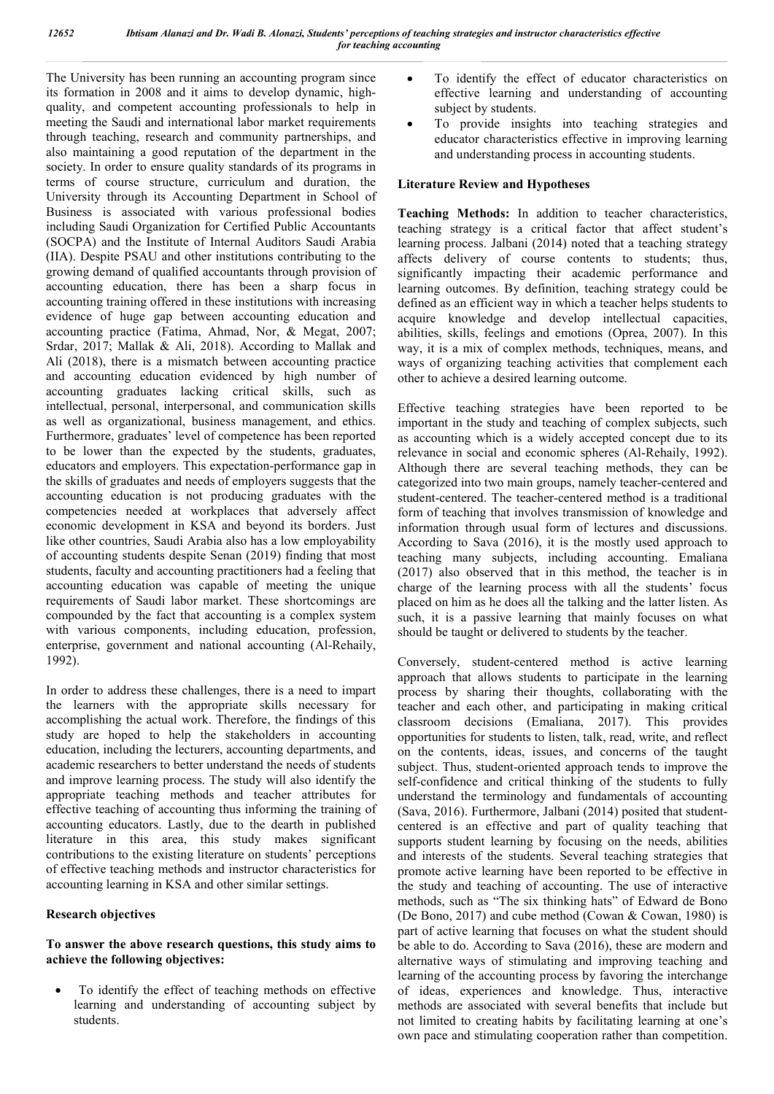The University has been running an accounting program since its formation in 2008 and it aims to develop dynamic, highquality, and competent accounting professionals to help in meeting the Saudi and international labor market requirements through teaching, research and community partnerships, and also maintaining a good reputation of the department in the society. In order to ensure quality standards of its programs in terms of course structure, curriculum and duration, the University through its Accounting Department in School of Business is associated with various professional bodies including Saudi Organization for Certified Public Accountants (SOCPA) and the Institute of Internal Auditors Saudi Arabia (IIA). Despite PSAU and other institutions contributing to the growing demand of qualified accountants through provision of accounting education, there has been a sharp focus in accounting training offered in these institutions with increasing evidence of huge gap between accounting education and accounting practice (Fatima, Ahmad, Nor, & Megat, 2007; Srdar, 2017; Mallak & Ali, 2018). According to Mallak and Ali (2018), there is a mismatch between accounting practice and accounting education evidenced by high number of accounting graduates lacking critical skills, such as intellectual, personal, interpersonal, and communication skills as well as organizational, business management, and ethics. Furthermore, graduates' level of competence has been reported to be lower than the expected by the students, graduates, educators and employers. This expectation-performance gap in the skills of graduates and needs of employers suggests that the accounting education is not producing graduates with the competencies needed at workplaces that adversely affect economic development in KSA and beyond its borders. Just like other countries, Saudi Arabia also has a low employability of accounting students despite Senan (2019) finding that most students, faculty and accounting practitioners had a feeling that accounting education was capable of meeting the unique requirements of Saudi labor market. These shortcomings are compounded by the fact that accounting is a complex system with various components, including education, profession, enterprise, government and national accounting (Al-Rehaily, 1992).

In order to address these challenges, there is a need to impart the learners with the appropriate skills necessary for accomplishing the actual work. Therefore, the findings of this study are hoped to help the stakeholders in accounting education, including the lecturers, accounting departments, and academic researchers to better understand the needs of students and improve learning process. The study will also identify the appropriate teaching methods and teacher attributes for effective teaching of accounting thus informing the training of accounting educators. Lastly, due to the dearth in published literature in this area, this study makes significant contributions to the existing literature on students' perceptions of effective teaching methods and instructor characteristics for accounting learning in KSA and other similar settings.

## **Research objectives**

## **To answer the above research questions, this study aims to achieve the following objectives:**

 To identify the effect of teaching methods on effective learning and understanding of accounting subject by students.

- To identify the effect of educator characteristics on effective learning and understanding of accounting subject by students.
- To provide insights into teaching strategies and educator characteristics effective in improving learning and understanding process in accounting students.

#### **Literature Review and Hypotheses**

**Teaching Methods:** In addition to teacher characteristics, teaching strategy is a critical factor that affect student's learning process. Jalbani (2014) noted that a teaching strategy affects delivery of course contents to students; thus, significantly impacting their academic performance and learning outcomes. By definition, teaching strategy could be defined as an efficient way in which a teacher helps students to acquire knowledge and develop intellectual capacities, abilities, skills, feelings and emotions (Oprea, 2007). In this way, it is a mix of complex methods, techniques, means, and ways of organizing teaching activities that complement each other to achieve a desired learning outcome.

Effective teaching strategies have been reported to be important in the study and teaching of complex subjects, such as accounting which is a widely accepted concept due to its relevance in social and economic spheres (Al-Rehaily, 1992). Although there are several teaching methods, they can be categorized into two main groups, namely teacher-centered and student-centered. The teacher-centered method is a traditional form of teaching that involves transmission of knowledge and information through usual form of lectures and discussions. According to Sava (2016), it is the mostly used approach to teaching many subjects, including accounting. Emaliana (2017) also observed that in this method, the teacher is in charge of the learning process with all the students' focus placed on him as he does all the talking and the latter listen. As such, it is a passive learning that mainly focuses on what should be taught or delivered to students by the teacher.

Conversely, student-centered method is active learning approach that allows students to participate in the learning process by sharing their thoughts, collaborating with the teacher and each other, and participating in making critical classroom decisions (Emaliana, 2017). This provides opportunities for students to listen, talk, read, write, and reflect on the contents, ideas, issues, and concerns of the taught subject. Thus, student-oriented approach tends to improve the self-confidence and critical thinking of the students to fully understand the terminology and fundamentals of accounting (Sava, 2016). Furthermore, Jalbani (2014) posited that studentcentered is an effective and part of quality teaching that supports student learning by focusing on the needs, abilities and interests of the students. Several teaching strategies that promote active learning have been reported to be effective in the study and teaching of accounting. The use of interactive methods, such as "The six thinking hats" of Edward de Bono (De Bono, 2017) and cube method (Cowan & Cowan, 1980) is part of active learning that focuses on what the student should be able to do. According to Sava (2016), these are modern and alternative ways of stimulating and improving teaching and learning of the accounting process by favoring the interchange of ideas, experiences and knowledge. Thus, interactive methods are associated with several benefits that include but not limited to creating habits by facilitating learning at one's own pace and stimulating cooperation rather than competition.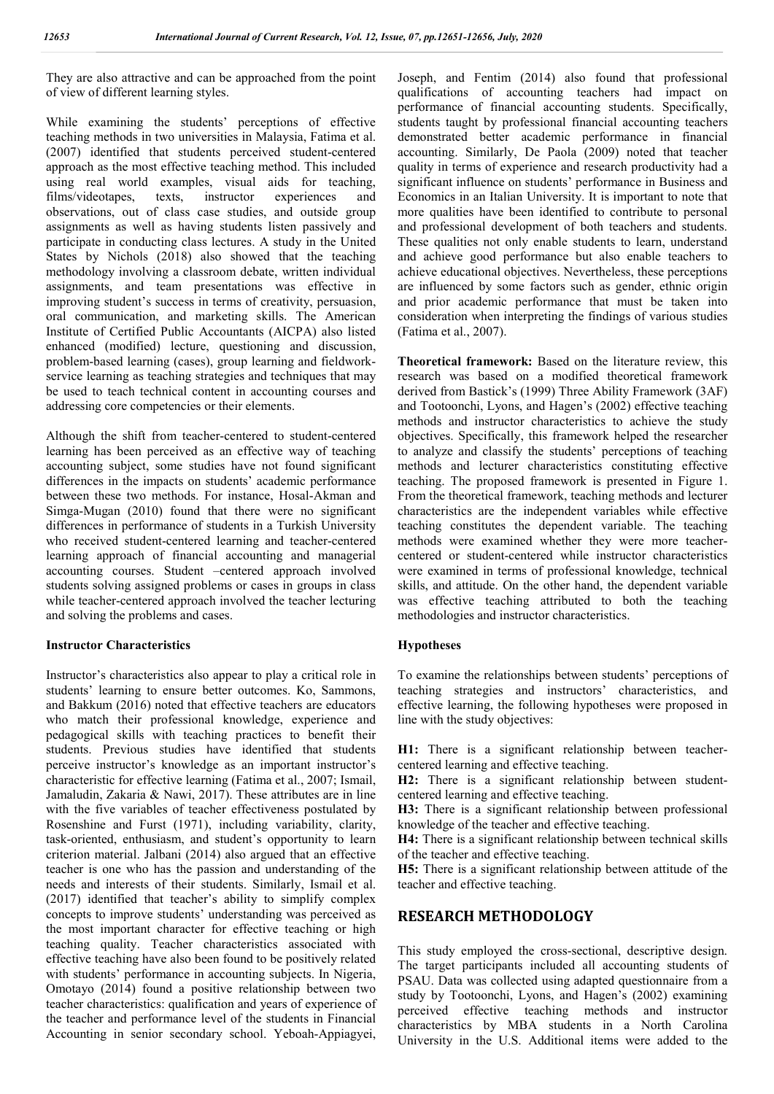They are also attractive and can be approached from the point of view of different learning styles.

While examining the students' perceptions of effective teaching methods in two universities in Malaysia, Fatima et al. (2007) identified that students perceived student-centered approach as the most effective teaching method. This included using real world examples, visual aids for teaching, films/videotapes, texts, instructor experiences and observations, out of class case studies, and outside group assignments as well as having students listen passively and participate in conducting class lectures. A study in the United States by Nichols (2018) also showed that the teaching methodology involving a classroom debate, written individual assignments, and team presentations was effective in improving student's success in terms of creativity, persuasion, oral communication, and marketing skills. The American Institute of Certified Public Accountants (AICPA) also listed enhanced (modified) lecture, questioning and discussion, problem-based learning (cases), group learning and fieldworkservice learning as teaching strategies and techniques that may be used to teach technical content in accounting courses and addressing core competencies or their elements.

Although the shift from teacher-centered to student-centered learning has been perceived as an effective way of teaching accounting subject, some studies have not found significant differences in the impacts on students' academic performance between these two methods. For instance, Hosal‐Akman and Simga‐Mugan (2010) found that there were no significant differences in performance of students in a Turkish University who received student-centered learning and teacher-centered learning approach of financial accounting and managerial accounting courses. Student –centered approach involved students solving assigned problems or cases in groups in class while teacher-centered approach involved the teacher lecturing and solving the problems and cases.

## **Instructor Characteristics**

Instructor's characteristics also appear to play a critical role in students' learning to ensure better outcomes. Ko, Sammons, and Bakkum (2016) noted that effective teachers are educators who match their professional knowledge, experience and pedagogical skills with teaching practices to benefit their students. Previous studies have identified that students perceive instructor's knowledge as an important instructor's characteristic for effective learning (Fatima et al., 2007; Ismail, Jamaludin, Zakaria & Nawi, 2017). These attributes are in line with the five variables of teacher effectiveness postulated by Rosenshine and Furst (1971), including variability, clarity, task-oriented, enthusiasm, and student's opportunity to learn criterion material. Jalbani (2014) also argued that an effective teacher is one who has the passion and understanding of the needs and interests of their students. Similarly, Ismail et al. (2017) identified that teacher's ability to simplify complex concepts to improve students' understanding was perceived as the most important character for effective teaching or high teaching quality. Teacher characteristics associated with effective teaching have also been found to be positively related with students' performance in accounting subjects. In Nigeria, Omotayo (2014) found a positive relationship between two teacher characteristics: qualification and years of experience of the teacher and performance level of the students in Financial Accounting in senior secondary school. Yeboah-Appiagyei, Joseph, and Fentim (2014) also found that professional qualifications of accounting teachers had impact on performance of financial accounting students. Specifically, students taught by professional financial accounting teachers demonstrated better academic performance in financial accounting. Similarly, De Paola (2009) noted that teacher quality in terms of experience and research productivity had a significant influence on students' performance in Business and Economics in an Italian University. It is important to note that more qualities have been identified to contribute to personal and professional development of both teachers and students. These qualities not only enable students to learn, understand and achieve good performance but also enable teachers to achieve educational objectives. Nevertheless, these perceptions are influenced by some factors such as gender, ethnic origin and prior academic performance that must be taken into consideration when interpreting the findings of various studies (Fatima et al., 2007).

**Theoretical framework:** Based on the literature review, this research was based on a modified theoretical framework derived from Bastick's (1999) Three Ability Framework (3AF) and Tootoonchi, Lyons, and Hagen's (2002) effective teaching methods and instructor characteristics to achieve the study objectives. Specifically, this framework helped the researcher to analyze and classify the students' perceptions of teaching methods and lecturer characteristics constituting effective teaching. The proposed framework is presented in Figure 1. From the theoretical framework, teaching methods and lecturer characteristics are the independent variables while effective teaching constitutes the dependent variable. The teaching methods were examined whether they were more teachercentered or student-centered while instructor characteristics were examined in terms of professional knowledge, technical skills, and attitude. On the other hand, the dependent variable was effective teaching attributed to both the teaching methodologies and instructor characteristics.

#### **Hypotheses**

To examine the relationships between students' perceptions of teaching strategies and instructors' characteristics, and effective learning, the following hypotheses were proposed in line with the study objectives:

**H1:** There is a significant relationship between teachercentered learning and effective teaching.

**H2:** There is a significant relationship between studentcentered learning and effective teaching.

**H3:** There is a significant relationship between professional knowledge of the teacher and effective teaching.

**H4:** There is a significant relationship between technical skills of the teacher and effective teaching.

**H5:** There is a significant relationship between attitude of the teacher and effective teaching.

## **RESEARCH METHODOLOGY**

This study employed the cross-sectional, descriptive design. The target participants included all accounting students of PSAU. Data was collected using adapted questionnaire from a study by Tootoonchi, Lyons, and Hagen's (2002) examining perceived effective teaching methods and instructor characteristics by MBA students in a North Carolina University in the U.S. Additional items were added to the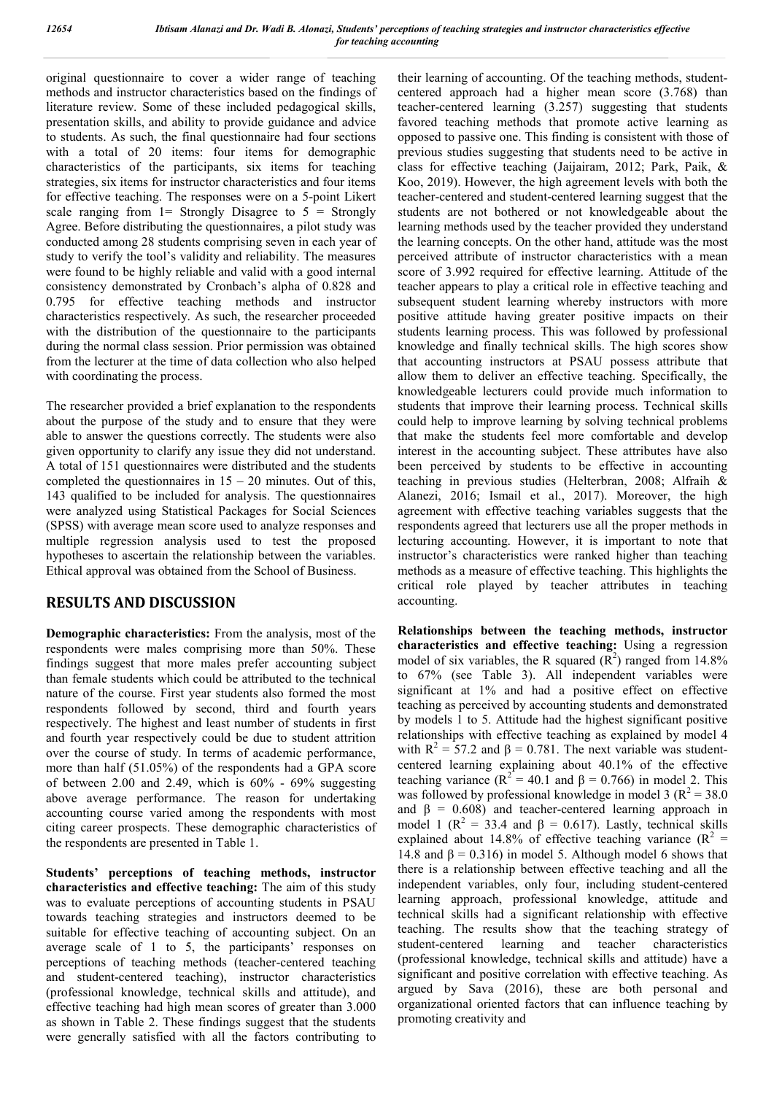original questionnaire to cover a wider range of teaching methods and instructor characteristics based on the findings of literature review. Some of these included pedagogical skills, presentation skills, and ability to provide guidance and advice to students. As such, the final questionnaire had four sections with a total of 20 items: four items for demographic characteristics of the participants, six items for teaching strategies, six items for instructor characteristics and four items for effective teaching. The responses were on a 5-point Likert scale ranging from  $l =$  Strongly Disagree to  $5 =$  Strongly Agree. Before distributing the questionnaires, a pilot study was conducted among 28 students comprising seven in each year of study to verify the tool's validity and reliability. The measures were found to be highly reliable and valid with a good internal consistency demonstrated by Cronbach's alpha of 0.828 and 0.795 for effective teaching methods and instructor characteristics respectively. As such, the researcher proceeded with the distribution of the questionnaire to the participants during the normal class session. Prior permission was obtained from the lecturer at the time of data collection who also helped with coordinating the process.

The researcher provided a brief explanation to the respondents about the purpose of the study and to ensure that they were able to answer the questions correctly. The students were also given opportunity to clarify any issue they did not understand. A total of 151 questionnaires were distributed and the students completed the questionnaires in  $15 - 20$  minutes. Out of this, 143 qualified to be included for analysis. The questionnaires were analyzed using Statistical Packages for Social Sciences (SPSS) with average mean score used to analyze responses and multiple regression analysis used to test the proposed hypotheses to ascertain the relationship between the variables. Ethical approval was obtained from the School of Business.

## **RESULTS AND DISCUSSION**

**Demographic characteristics:** From the analysis, most of the respondents were males comprising more than 50%. These findings suggest that more males prefer accounting subject than female students which could be attributed to the technical nature of the course. First year students also formed the most respondents followed by second, third and fourth years respectively. The highest and least number of students in first and fourth year respectively could be due to student attrition over the course of study. In terms of academic performance, more than half (51.05%) of the respondents had a GPA score of between 2.00 and 2.49, which is  $60\%$  -  $69\%$  suggesting above average performance. The reason for undertaking accounting course varied among the respondents with most citing career prospects. These demographic characteristics of the respondents are presented in Table 1.

**Students' perceptions of teaching methods, instructor characteristics and effective teaching:** The aim of this study was to evaluate perceptions of accounting students in PSAU towards teaching strategies and instructors deemed to be suitable for effective teaching of accounting subject. On an average scale of 1 to 5, the participants' responses on perceptions of teaching methods (teacher-centered teaching and student-centered teaching), instructor characteristics (professional knowledge, technical skills and attitude), and effective teaching had high mean scores of greater than 3.000 as shown in Table 2. These findings suggest that the students were generally satisfied with all the factors contributing to

their learning of accounting. Of the teaching methods, studentcentered approach had a higher mean score (3.768) than teacher-centered learning (3.257) suggesting that students favored teaching methods that promote active learning as opposed to passive one. This finding is consistent with those of previous studies suggesting that students need to be active in class for effective teaching (Jaijairam, 2012; Park, Paik, & Koo, 2019). However, the high agreement levels with both the teacher-centered and student-centered learning suggest that the students are not bothered or not knowledgeable about the learning methods used by the teacher provided they understand the learning concepts. On the other hand, attitude was the most perceived attribute of instructor characteristics with a mean score of 3.992 required for effective learning. Attitude of the teacher appears to play a critical role in effective teaching and subsequent student learning whereby instructors with more positive attitude having greater positive impacts on their students learning process. This was followed by professional knowledge and finally technical skills. The high scores show that accounting instructors at PSAU possess attribute that allow them to deliver an effective teaching. Specifically, the knowledgeable lecturers could provide much information to students that improve their learning process. Technical skills could help to improve learning by solving technical problems that make the students feel more comfortable and develop interest in the accounting subject. These attributes have also been perceived by students to be effective in accounting teaching in previous studies (Helterbran, 2008; Alfraih & Alanezi, 2016; Ismail et al., 2017). Moreover, the high agreement with effective teaching variables suggests that the respondents agreed that lecturers use all the proper methods in lecturing accounting. However, it is important to note that instructor's characteristics were ranked higher than teaching methods as a measure of effective teaching. This highlights the critical role played by teacher attributes in teaching accounting.

**Relationships between the teaching methods, instructor characteristics and effective teaching:** Using a regression model of six variables, the R squared  $(R^2)$  ranged from 14.8% to 67% (see Table 3). All independent variables were significant at 1% and had a positive effect on effective teaching as perceived by accounting students and demonstrated by models 1 to 5. Attitude had the highest significant positive relationships with effective teaching as explained by model 4 with  $R^2 = 57.2$  and  $\beta = 0.781$ . The next variable was studentcentered learning explaining about 40.1% of the effective teaching variance ( $R^2 = 40.1$  and  $\beta = 0.766$ ) in model 2. This was followed by professional knowledge in model 3 ( $R^2 = 38.0$ ) and  $\beta = 0.608$ ) and teacher-centered learning approach in model 1 ( $\mathbb{R}^2$  = 33.4 and  $\beta$  = 0.617). Lastly, technical skills explained about 14.8% of effective teaching variance ( $R^2$  = 14.8 and  $\beta$  = 0.316) in model 5. Although model 6 shows that there is a relationship between effective teaching and all the independent variables, only four, including student-centered learning approach, professional knowledge, attitude and technical skills had a significant relationship with effective teaching. The results show that the teaching strategy of student-centered learning and teacher characteristics (professional knowledge, technical skills and attitude) have a significant and positive correlation with effective teaching. As argued by Sava (2016), these are both personal and organizational oriented factors that can influence teaching by promoting creativity and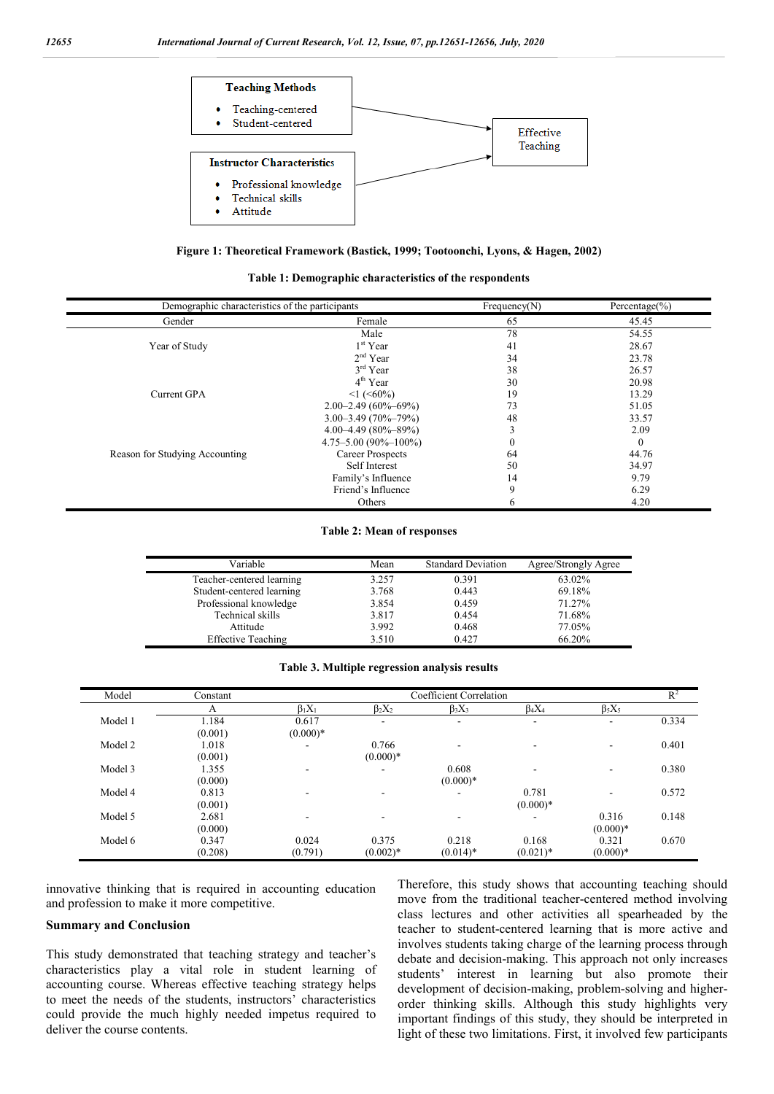

**Figure 1: Theoretical Framework (Bastick, 1999; Tootoonchi, Lyons, & Hagen, 2002)**

**Table 1: Demographic characteristics of the respondents**

| Demographic characteristics of the participants | Frequency(N)                | Percentage $(\% )$ |              |
|-------------------------------------------------|-----------------------------|--------------------|--------------|
| Gender                                          | Female                      | 65                 | 45.45        |
|                                                 | Male                        | 78                 | 54.55        |
| Year of Study                                   | $1st$ Year                  | 41                 | 28.67        |
|                                                 | $2nd$ Year                  | 34                 | 23.78        |
|                                                 | $3rd$ Year                  | 38                 | 26.57        |
|                                                 | $4th$ Year                  | 30                 | 20.98        |
| Current GPA                                     | $\leq$ 1 ( $\leq$ 60%)      | 19                 | 13.29        |
|                                                 | $2.00 - 2.49(60\% - 69\%)$  | 73                 | 51.05        |
|                                                 | $3.00 - 3.49(70\% - 79\%)$  | 48                 | 33.57        |
|                                                 | $4.00 - 4.49(80\% - 89\%)$  | 3                  | 2.09         |
|                                                 | $4.75 - 5.00(90\% - 100\%)$ | $\mathbf{0}$       | $\mathbf{0}$ |
| Reason for Studying Accounting                  | <b>Career Prospects</b>     | 64                 | 44.76        |
|                                                 | Self Interest               | 50                 | 34.97        |
|                                                 | Family's Influence          | 14                 | 9.79         |
|                                                 | Friend's Influence          | 9                  | 6.29         |
|                                                 | Others                      | 6                  | 4.20         |

#### **Table 2: Mean of responses**

| Variable                  | Mean  | <b>Standard Deviation</b> | Agree/Strongly Agree |
|---------------------------|-------|---------------------------|----------------------|
| Teacher-centered learning | 3.257 | 0.391                     | 63.02%               |
| Student-centered learning | 3.768 | 0.443                     | 69.18%               |
| Professional knowledge    | 3.854 | 0.459                     | 71.27%               |
| Technical skills          | 3.817 | 0.454                     | 71.68%               |
| Attitude                  | 3.992 | 0.468                     | 77.05%               |
| <b>Effective Teaching</b> | 3.510 | 0.427                     | 66.20%               |

**Table 3. Multiple regression analysis results**

| Model   | Constant         |                     | Coefficient Correlation  |                      |                      |                     | $R^2$ |
|---------|------------------|---------------------|--------------------------|----------------------|----------------------|---------------------|-------|
|         | A                | $\beta_1 X_1$       | $\beta_2 X_2$            | $\beta_3 X_3$        | $\beta_4 X_4$        | $\beta_5 X_5$       |       |
| Model 1 | 1.184<br>(0.001) | 0.617<br>$(0.000)*$ | -                        | ۰                    | ۰                    | ۰                   | 0.334 |
| Model 2 | 1.018<br>(0.001) |                     | 0.766<br>$(0.000)*$      | ۰                    | -                    | ۰                   | 0.401 |
| Model 3 | 1.355<br>(0.000) | -                   | $\overline{\phantom{a}}$ | 0.608<br>$(0.000)*$  | ۰                    | ۰                   | 0.380 |
| Model 4 | 0.813<br>(0.001) |                     |                          | -                    | 0.781<br>$(0.000)*$  | ۰                   | 0.572 |
| Model 5 | 2.681<br>(0.000) |                     | ۰                        |                      |                      | 0.316<br>$(0.000)*$ | 0.148 |
| Model 6 | 0.347<br>(0.208) | 0.024<br>(0.791)    | 0.375<br>$(0.002)*$      | 0.218<br>$(0.014)$ * | 0.168<br>$(0.021)$ * | 0.321<br>$(0.000)*$ | 0.670 |

innovative thinking that is required in accounting education and profession to make it more competitive.

#### **Summary and Conclusion**

This study demonstrated that teaching strategy and teacher's characteristics play a vital role in student learning of accounting course. Whereas effective teaching strategy helps to meet the needs of the students, instructors' characteristics could provide the much highly needed impetus required to deliver the course contents.

Therefore, this study shows that accounting teaching should move from the traditional teacher-centered method involving class lectures and other activities all spearheaded by the teacher to student-centered learning that is more active and involves students taking charge of the learning process through debate and decision-making. This approach not only increases students' interest in learning but also promote their development of decision-making, problem-solving and higherorder thinking skills. Although this study highlights very important findings of this study, they should be interpreted in light of these two limitations. First, it involved few participants